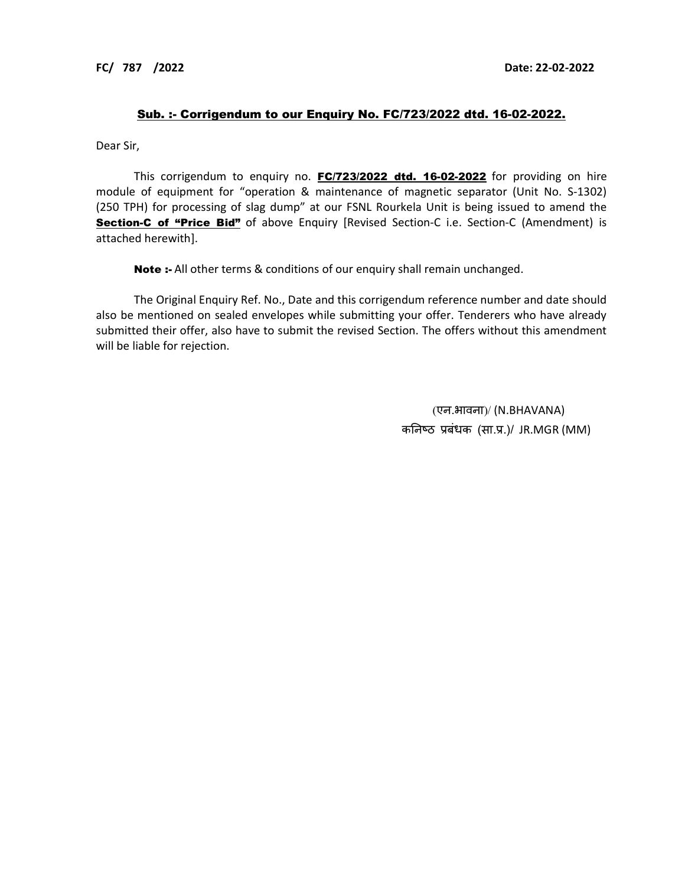## Sub. :- Corrigendum to our Enquiry No. FC/723/2022 dtd. 16-02-2022.

Dear Sir,

This corrigendum to enquiry no. FC/723/2022 dtd. 16-02-2022 for providing on hire module of equipment for "operation & maintenance of magnetic separator (Unit No. S-1302) (250 TPH) for processing of slag dump" at our FSNL Rourkela Unit is being issued to amend the **Section-C of "Price Bid"** of above Enquiry [Revised Section-C i.e. Section-C (Amendment) is attached herewith].

Note :- All other terms & conditions of our enquiry shall remain unchanged.

The Original Enquiry Ref. No., Date and this corrigendum reference number and date should also be mentioned on sealed envelopes while submitting your offer. Tenderers who have already submitted their offer, also have to submit the revised Section. The offers without this amendment will be liable for rejection.

> (एन.भावना)/ (N.BHAVANA) कनिष्ठ प्रबंधक (सा.प्र.)/ JR.MGR (MM)